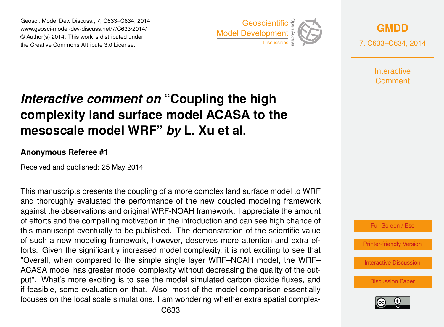Geosci. Model Dev. Discuss., 7, C633–C634, 2014 www.geosci-model-dev-discuss.net/7/C633/2014/ © Author(s) 2014. This work is distributed under Geosci. Model Dev. Discuss., 7, C633–C634, 2014<br>www.geosci-model-dev-discuss.net/7/C633/2014/<br>© Author(s) 2014. This work is distributed under<br>the Creative Commons Attribute 3.0 License.



**[GMDD](http://www.geosci-model-dev-discuss.net)**

7, C633–C634, 2014

**Interactive** Comment

## *Interactive comment on* **"Coupling the high complexity land surface model ACASA to the mesoscale model WRF"** *by* **L. Xu et al.**

## **Anonymous Referee #1**

Received and published: 25 May 2014

This manuscripts presents the coupling of a more complex land surface model to WRF and thoroughly evaluated the performance of the new coupled modeling framework against the observations and original WRF-NOAH framework. I appreciate the amount of efforts and the compelling motivation in the introduction and can see high chance of this manuscript eventually to be published. The demonstration of the scientific value of such a new modeling framework, however, deserves more attention and extra efforts. Given the significantly increased model complexity, it is not exciting to see that "Overall, when compared to the simple single layer WRF–NOAH model, the WRF– ACASA model has greater model complexity without decreasing the quality of the output". What's more exciting is to see the model simulated carbon dioxide fluxes, and if feasible, some evaluation on that. Also, most of the model comparison essentially focuses on the local scale simulations. I am wondering whether extra spatial complex-